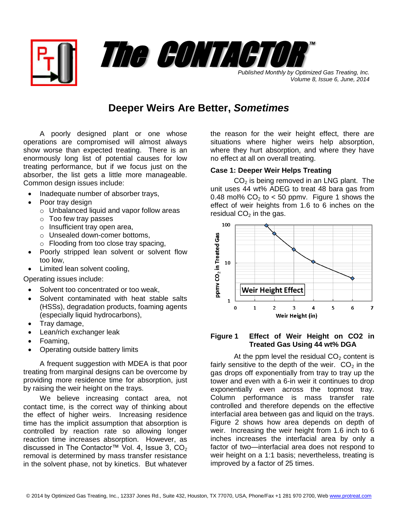

*Volume 8, Issue 6, June, 2014*

# **Deeper Weirs Are Better,** *Sometimes*

A poorly designed plant or one whose operations are compromised will almost always show worse than expected treating. There is an enormously long list of potential causes for low treating performance, but if we focus just on the absorber, the list gets a little more manageable. Common design issues include:

- Inadequate number of absorber trays,
- Poor tray design
	- o Unbalanced liquid and vapor follow areas
	- o Too few tray passes
	- o Insufficient tray open area,
	- o Unsealed down-comer bottoms,
	- o Flooding from too close tray spacing,
- Poorly stripped lean solvent or solvent flow too low,
- Limited lean solvent cooling,

Operating issues include:

- Solvent too concentrated or too weak.
- Solvent contaminated with heat stable salts (HSSs), degradation products, foaming agents (especially liquid hydrocarbons),
- Tray damage,
- Lean/rich exchanger leak
- Foaming,
- Operating outside battery limits

A frequent suggestion with MDEA is that poor treating from marginal designs can be overcome by providing more residence time for absorption, just by raising the weir height on the trays.

We believe increasing contact area, not contact time, is the correct way of thinking about the effect of higher weirs. Increasing residence time has the implicit assumption that absorption is controlled by reaction rate so allowing longer reaction time increases absorption. However, as discussed in The Contactor™ Vol. 4, Issue 3,  $CO<sub>2</sub>$ removal is determined by mass transfer resistance in the solvent phase, not by kinetics. But whatever

the reason for the weir height effect, there are situations where higher weirs help absorption, where they hurt absorption, and where they have no effect at all on overall treating.

# **Case 1: Deeper Weir Helps Treating**

 $CO<sub>2</sub>$  is being removed in an LNG plant. The unit uses 44 wt% ADEG to treat 48 bara gas from 0.48 mol%  $CO<sub>2</sub>$  to < 50 ppmv. Figure 1 shows the effect of weir heights from 1.6 to 6 inches on the residual  $CO<sub>2</sub>$  in the gas.



### **Figure 1 Effect of Weir Height on CO2 in Treated Gas Using 44 wt% DGA**

At the ppm level the residual  $CO<sub>2</sub>$  content is fairly sensitive to the depth of the weir.  $CO<sub>2</sub>$  in the gas drops off exponentially from tray to tray up the tower and even with a 6-in weir it continues to drop exponentially even across the topmost tray. Column performance is mass transfer rate controlled and therefore depends on the effective interfacial area between gas and liquid on the trays. Figure 2 shows how area depends on depth of weir. Increasing the weir height from 1.6 inch to 6 inches increases the interfacial area by only a factor of two—interfacial area does not respond to weir height on a 1:1 basis; nevertheless, treating is improved by a factor of 25 times.